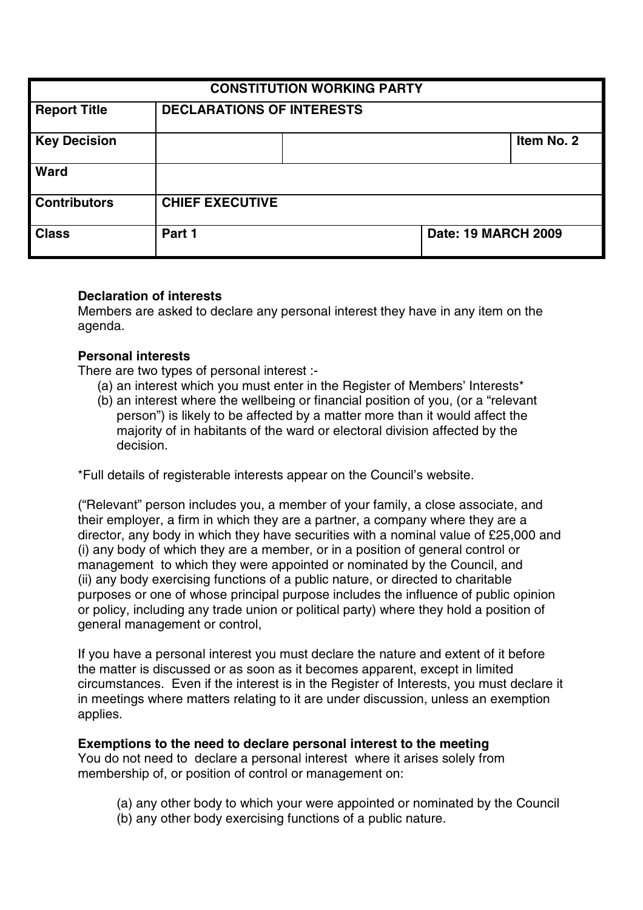| <b>CONSTITUTION WORKING PARTY</b> |                                  |  |                            |            |
|-----------------------------------|----------------------------------|--|----------------------------|------------|
| <b>Report Title</b>               | <b>DECLARATIONS OF INTERESTS</b> |  |                            |            |
| <b>Key Decision</b>               |                                  |  |                            | Item No. 2 |
| Ward                              |                                  |  |                            |            |
| <b>Contributors</b>               | <b>CHIEF EXECUTIVE</b>           |  |                            |            |
| <b>Class</b>                      | Part 1                           |  | <b>Date: 19 MARCH 2009</b> |            |

#### **Declaration of interests**

Members are asked to declare any personal interest they have in any item on the agenda.

## **Personal interests**

There are two types of personal interest :-

- (a) an interest which you must enter in the Register of Members' Interests\*
- (b) an interest where the wellbeing or financial position of you, (or a "relevant person") is likely to be affected by a matter more than it would affect the majority of in habitants of the ward or electoral division affected by the decision.

\*Full details of registerable interests appear on the Council's website.

("Relevant" person includes you, a member of your family, a close associate, and their employer, a firm in which they are a partner, a company where they are a director, any body in which they have securities with a nominal value of £25,000 and (i) any body of which they are a member, or in a position of general control or management to which they were appointed or nominated by the Council, and (ii) any body exercising functions of a public nature, or directed to charitable purposes or one of whose principal purpose includes the influence of public opinion or policy, including any trade union or political party) where they hold a position of general management or control,

If you have a personal interest you must declare the nature and extent of it before the matter is discussed or as soon as it becomes apparent, except in limited circumstances. Even if the interest is in the Register of Interests, you must declare it in meetings where matters relating to it are under discussion, unless an exemption applies.

#### **Exemptions to the need to declare personal interest to the meeting**

You do not need to declare a personal interest where it arises solely from membership of, or position of control or management on:

- (a) any other body to which your were appointed or nominated by the Council
- (b) any other body exercising functions of a public nature.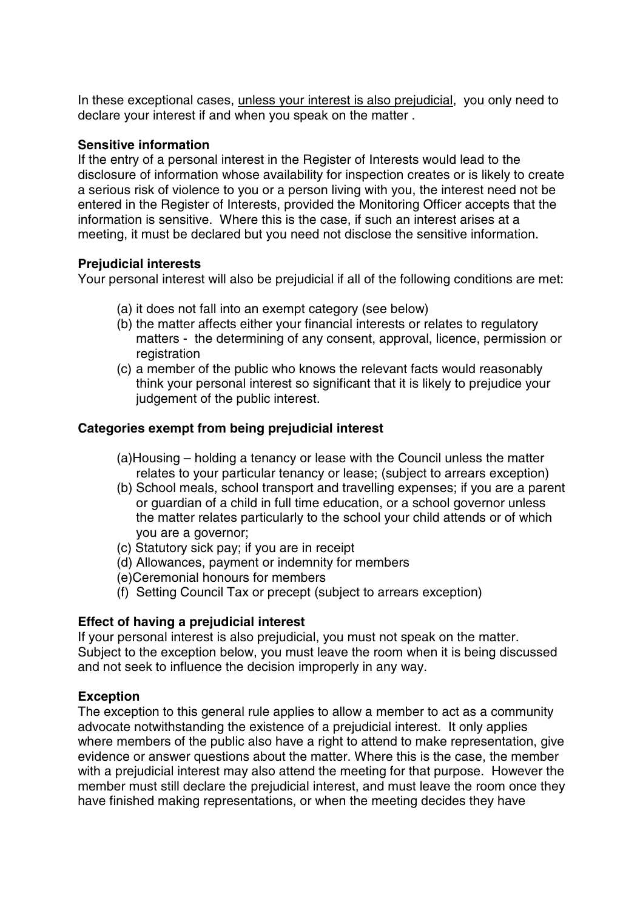In these exceptional cases, unless your interest is also prejudicial, you only need to declare your interest if and when you speak on the matter .

### **Sensitive information**

If the entry of a personal interest in the Register of Interests would lead to the disclosure of information whose availability for inspection creates or is likely to create a serious risk of violence to you or a person living with you, the interest need not be entered in the Register of Interests, provided the Monitoring Officer accepts that the information is sensitive. Where this is the case, if such an interest arises at a meeting, it must be declared but you need not disclose the sensitive information.

## **Prejudicial interests**

Your personal interest will also be prejudicial if all of the following conditions are met:

- (a) it does not fall into an exempt category (see below)
- (b) the matter affects either your financial interests or relates to regulatory matters - the determining of any consent, approval, licence, permission or registration
- (c) a member of the public who knows the relevant facts would reasonably think your personal interest so significant that it is likely to prejudice your judgement of the public interest.

## **Categories exempt from being prejudicial interest**

- (a)Housing holding a tenancy or lease with the Council unless the matter relates to your particular tenancy or lease; (subject to arrears exception)
- (b) School meals, school transport and travelling expenses; if you are a parent or guardian of a child in full time education, or a school governor unless the matter relates particularly to the school your child attends or of which you are a governor;
- (c) Statutory sick pay; if you are in receipt
- (d) Allowances, payment or indemnity for members
- (e)Ceremonial honours for members
- (f) Setting Council Tax or precept (subject to arrears exception)

# **Effect of having a prejudicial interest**

If your personal interest is also prejudicial, you must not speak on the matter. Subject to the exception below, you must leave the room when it is being discussed and not seek to influence the decision improperly in any way.

# **Exception**

The exception to this general rule applies to allow a member to act as a community advocate notwithstanding the existence of a prejudicial interest. It only applies where members of the public also have a right to attend to make representation, give evidence or answer questions about the matter. Where this is the case, the member with a prejudicial interest may also attend the meeting for that purpose. However the member must still declare the prejudicial interest, and must leave the room once they have finished making representations, or when the meeting decides they have